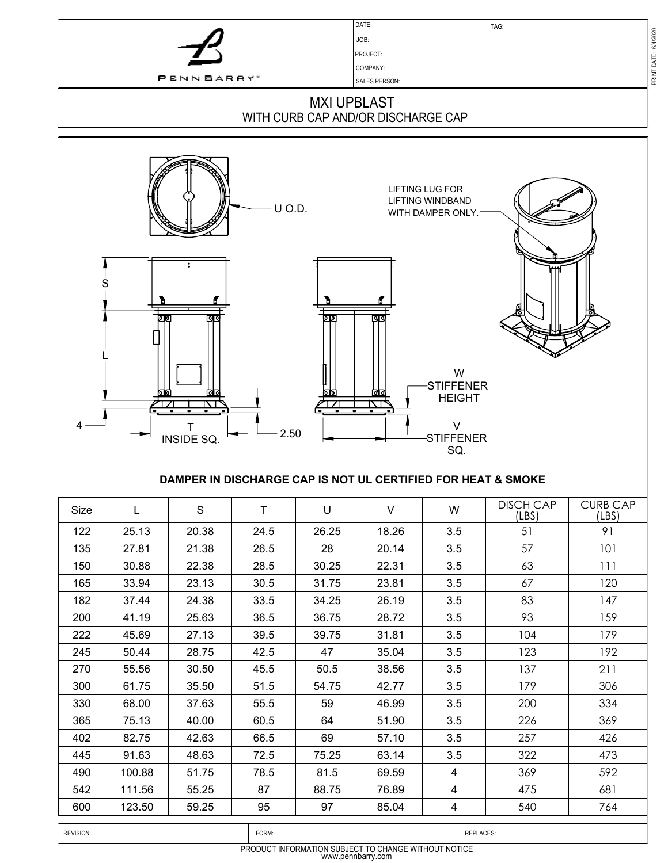

REVISION: REPLACES: REPLACES: REPLACES: REPLACES: REPLACES: REPLACES: REPLACES: REPLACES: REPLACES: REPLACES: REPLACES: REPLACES: REPLACES: REPLACES: REPLACES: REPLACES: REPLACES: REPLACES: REPLACES: REPLACES: REPLACES: RE

PRODUCT INFORMATION SUBJECT TO CHANGE WITHOUT NOTICE www.pennbarry.com